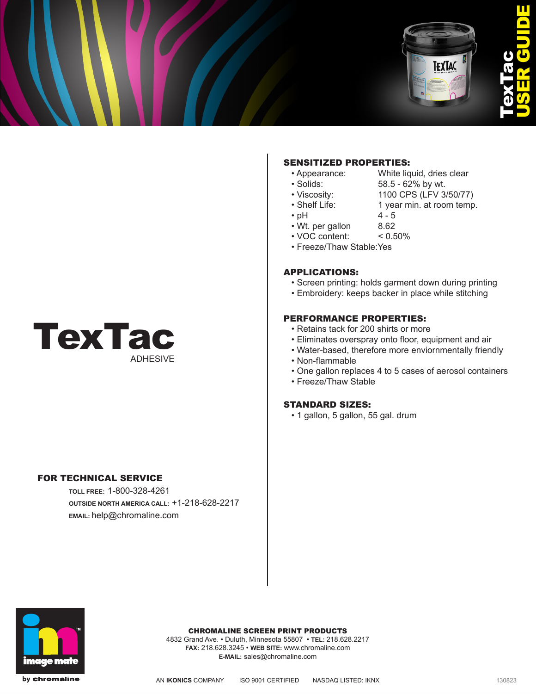

# П USER GUIDE TexTac

## SENSITIZED PROPERTIES:

- Appearance: White liquid, dries clear
- Solids: 58.5 62% by wt.
- Viscosity: 1100 CPS (LFV 3/50/77)
- Shelf Life: 1 year min. at room temp.
- $\cdot$  pH 4 5
	-
- Wt. per gallon 8.62
- VOC content: < 0.50%
- Freeze/Thaw Stable:Yes

## APPLICATIONS:

- Screen printing: holds garment down during printing
- Embroidery: keeps backer in place while stitching

### PERFORMANCE PROPERTIES:

- Retains tack for 200 shirts or more
- Eliminates overspray onto floor, equipment and air
- Water-based, therefore more enviornmentally friendly
- Non-flammable
- One gallon replaces 4 to 5 cases of aerosol containers
- Freeze/Thaw Stable

### STANDARD SIZES:

• 1 gallon, 5 gallon, 55 gal. drum



## FOR TECHNICAL SERVICE

**TOLL FREE:** 1-800-328-4261 **OUTSIDE NORTH AMERICA CALL:** +1-218-628-2217 **EMAIL:** help@chromaline.com



CHROMALINE SCREEN PRINT PRODUCTS

4832 Grand Ave. • Duluth, Minnesota 55807 • **TEL:** 218.628.2217 **FAX:** 218.628.3245 • **WEB SITE:** www.chromaline.com **E-MAIL:** sales@chromaline.com